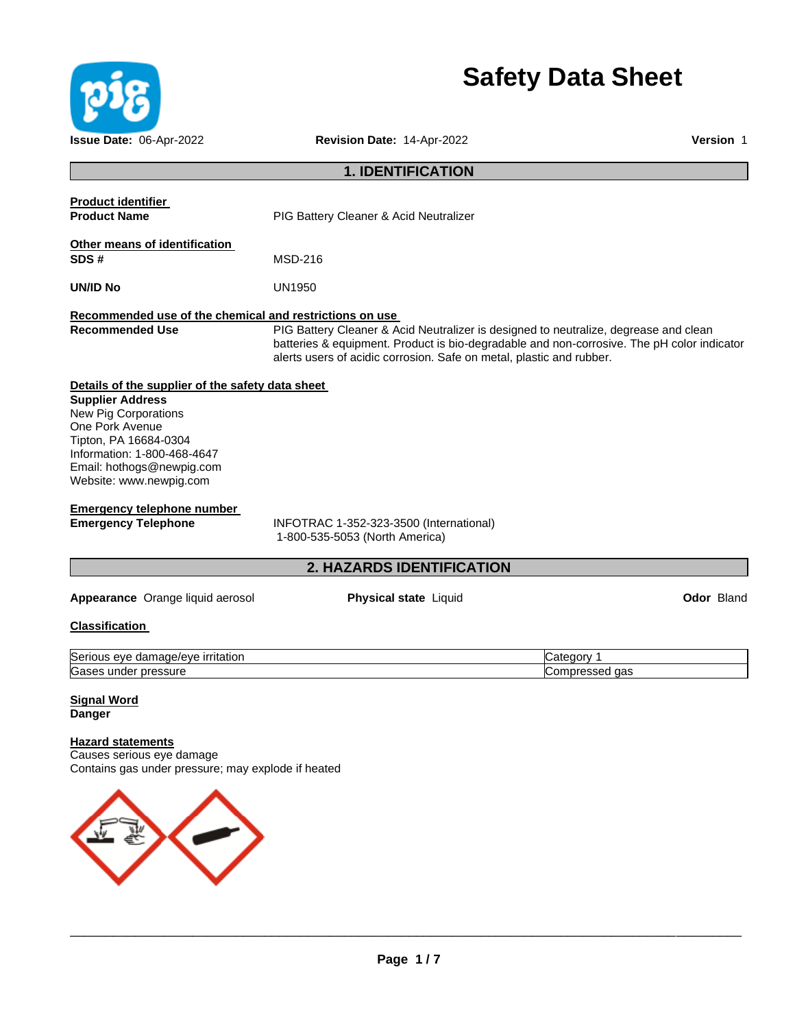

# **Safety Data Sheet**

| Issue Date: 06-Apr-2022                                                                                                                                                                                                                | Revision Date: 14-Apr-2022                                                                                                                                                                                                                                 | Version 1                    |
|----------------------------------------------------------------------------------------------------------------------------------------------------------------------------------------------------------------------------------------|------------------------------------------------------------------------------------------------------------------------------------------------------------------------------------------------------------------------------------------------------------|------------------------------|
|                                                                                                                                                                                                                                        | <b>1. IDENTIFICATION</b>                                                                                                                                                                                                                                   |                              |
| <b>Product identifier</b><br><b>Product Name</b>                                                                                                                                                                                       | <b>PIG Battery Cleaner &amp; Acid Neutralizer</b>                                                                                                                                                                                                          |                              |
| Other means of identification<br>SDS#                                                                                                                                                                                                  | <b>MSD-216</b>                                                                                                                                                                                                                                             |                              |
| <b>UN/ID No</b>                                                                                                                                                                                                                        | <b>UN1950</b>                                                                                                                                                                                                                                              |                              |
| Recommended use of the chemical and restrictions on use<br><b>Recommended Use</b>                                                                                                                                                      | PIG Battery Cleaner & Acid Neutralizer is designed to neutralize, degrease and clean<br>batteries & equipment. Product is bio-degradable and non-corrosive. The pH color indicator<br>alerts users of acidic corrosion. Safe on metal, plastic and rubber. |                              |
| Details of the supplier of the safety data sheet<br><b>Supplier Address</b><br>New Pig Corporations<br>One Pork Avenue<br>Tipton, PA 16684-0304<br>Information: 1-800-468-4647<br>Email: hothogs@newpig.com<br>Website: www.newpig.com |                                                                                                                                                                                                                                                            |                              |
| <b>Emergency telephone number</b><br><b>Emergency Telephone</b>                                                                                                                                                                        | INFOTRAC 1-352-323-3500 (International)<br>1-800-535-5053 (North America)                                                                                                                                                                                  |                              |
|                                                                                                                                                                                                                                        | 2. HAZARDS IDENTIFICATION                                                                                                                                                                                                                                  |                              |
| Appearance Orange liquid aerosol                                                                                                                                                                                                       | <b>Physical state Liquid</b>                                                                                                                                                                                                                               | <b>Odor Bland</b>            |
| <b>Classification</b>                                                                                                                                                                                                                  |                                                                                                                                                                                                                                                            |                              |
| Serious eye damage/eye irritation<br>Gases under pressure                                                                                                                                                                              |                                                                                                                                                                                                                                                            | Category 1<br>Compressed gas |
| <u>Signal Word</u><br><b>Danger</b>                                                                                                                                                                                                    |                                                                                                                                                                                                                                                            |                              |
| <b>Hazard statements</b><br>Causes serious eye damage<br>Contains gas under pressure; may explode if heated                                                                                                                            |                                                                                                                                                                                                                                                            |                              |

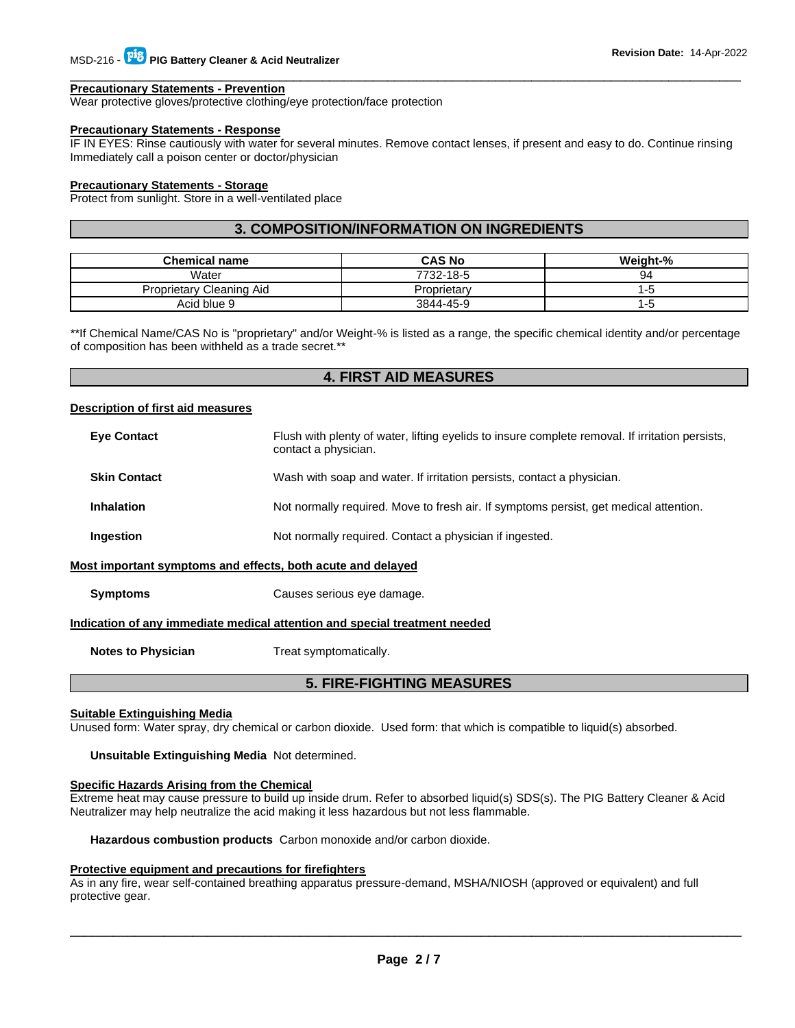#### **Precautionary Statements - Prevention**

Wear protective gloves/protective clothing/eye protection/face protection

# **Precautionary Statements - Response**

IF IN EYES: Rinse cautiously with water for several minutes. Remove contact lenses, if present and easy to do. Continue rinsing Immediately call a poison center or doctor/physician

\_\_\_\_\_\_\_\_\_\_\_\_\_\_\_\_\_\_\_\_\_\_\_\_\_\_\_\_\_\_\_\_\_\_\_\_\_\_\_\_\_\_\_\_\_\_\_\_\_\_\_\_\_\_\_\_\_\_\_\_\_\_\_\_\_\_\_\_\_\_\_\_\_\_\_\_\_\_\_\_\_\_\_\_\_\_\_\_\_\_\_\_\_

# **Precautionary Statements - Storage**

Protect from sunlight. Store in a well-ventilated place

# **3. COMPOSITION/INFORMATION ON INGREDIENTS**

| <b>Chemical name</b>     | <b>CAS No</b> | <b>Weight-%</b> |
|--------------------------|---------------|-----------------|
| Water                    | 7732-18-5     | 94              |
| Proprietary Cleaning Aid | Proprietary   | ם-ו             |
| Acid blue 9              | 3844-45-9     | -5              |

\*\*If Chemical Name/CAS No is "proprietary" and/or Weight-% is listed as a range, the specific chemical identity and/or percentage of composition has been withheld as a trade secret.\*\*

# **4. FIRST AID MEASURES**

# **Description of first aid measures**

| <b>Eye Contact</b>  | Flush with plenty of water, lifting eyelids to insure complete removal. If irritation persists,<br>contact a physician. |
|---------------------|-------------------------------------------------------------------------------------------------------------------------|
| <b>Skin Contact</b> | Wash with soap and water. If irritation persists, contact a physician.                                                  |
| <b>Inhalation</b>   | Not normally required. Move to fresh air. If symptoms persist, get medical attention.                                   |
| Ingestion           | Not normally required. Contact a physician if ingested.                                                                 |
|                     | Most important symptoms and effects, both acute and delayed                                                             |
| <b>Symptoms</b>     | Causes serious eye damage.                                                                                              |

#### **Indication of any immediate medical attention and special treatment needed**

**Notes to Physician Treat symptomatically.** 

# **5. FIRE-FIGHTING MEASURES**

#### **Suitable Extinguishing Media**

Unused form: Water spray, dry chemical or carbon dioxide. Used form: that which is compatible to liquid(s) absorbed.

**Unsuitable Extinguishing Media** Not determined.

# **Specific Hazards Arising from the Chemical**

Extreme heat may cause pressure to build up inside drum. Refer to absorbed liquid(s) SDS(s). The PIG Battery Cleaner & Acid Neutralizer may help neutralize the acid making it less hazardous but not less flammable.

**Hazardous combustion products** Carbon monoxide and/or carbon dioxide.

#### **Protective equipment and precautions for firefighters**

As in any fire, wear self-contained breathing apparatus pressure-demand, MSHA/NIOSH (approved or equivalent) and full protective gear.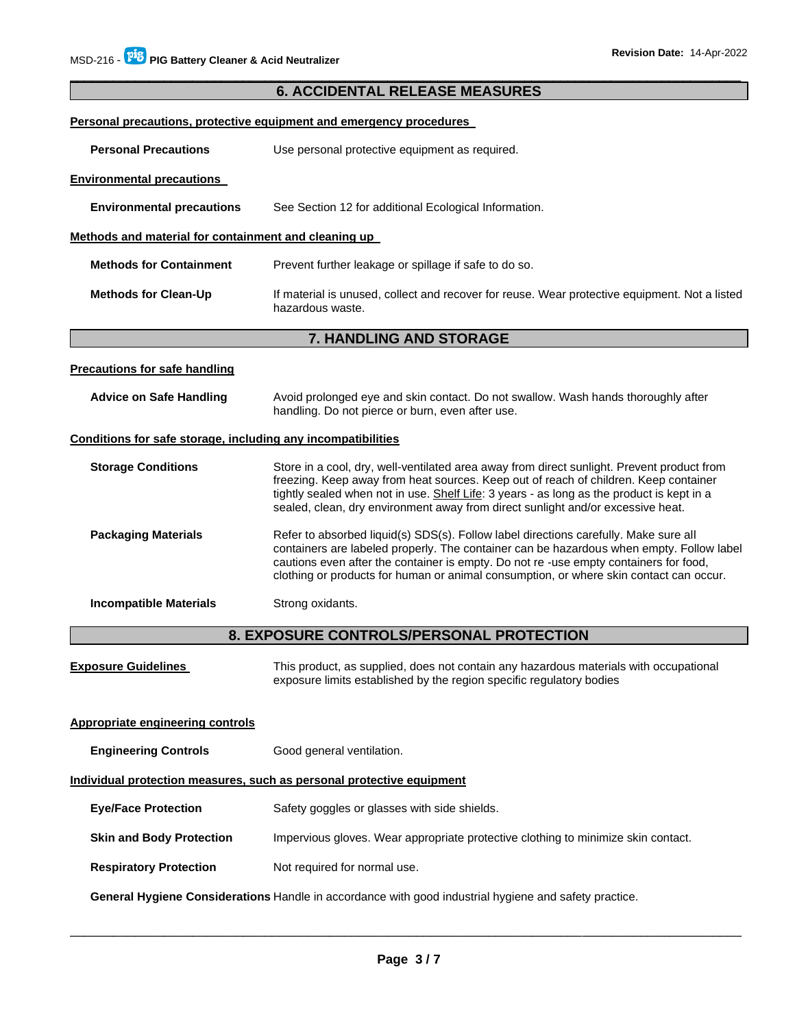# \_\_\_\_\_\_\_\_\_\_\_\_\_\_\_\_\_\_\_\_\_\_\_\_\_\_\_\_\_\_\_\_\_\_\_\_\_\_\_\_\_\_\_\_\_\_\_\_\_\_\_\_\_\_\_\_\_\_\_\_\_\_\_\_\_\_\_\_\_\_\_\_\_\_\_\_\_\_\_\_\_\_\_\_\_\_\_\_\_\_\_\_\_ **6. ACCIDENTAL RELEASE MEASURES Personal precautions, protective equipment and emergency procedures Personal Precautions Use personal protective equipment as required. Environmental precautions Environmental precautions** See Section 12 for additional Ecological Information. **Methods and material for containment and cleaning up Methods for Containment** Prevent further leakage or spillage if safe to do so. **Methods for Clean-Up** If material is unused, collect and recover for reuse. Wear protective equipment. Not a listed hazardous waste. **7. HANDLING AND STORAGE Precautions for safe handling Advice on Safe Handling** Avoid prolonged eye and skin contact. Do not swallow. Wash hands thoroughly after handling. Do not pierce or burn, even after use. **Conditions for safe storage, including any incompatibilities Storage Conditions** Store in a cool, dry, well-ventilated area away from direct sunlight. Prevent product from freezing. Keep away from heat sources. Keep out of reach of children. Keep container tightly sealed when not in use. Shelf Life: 3 years - as long as the product is kept in a sealed, clean, dry environment away from direct sunlight and/or excessive heat. **Packaging Materials Refer to absorbed liquid(s) SDS(s). Follow label directions carefully. Make sure all** containers are labeled properly. The container can be hazardous when empty. Follow label cautions even after the container is empty. Do not re -use empty containers for food, clothing or products for human or animal consumption, or where skin contact can occur. **Incompatible Materials Strong oxidants. 8. EXPOSURE CONTROLS/PERSONAL PROTECTION Exposure Guidelines** This product, as supplied, does not contain any hazardous materials with occupational exposure limits established by the region specific regulatory bodies **Appropriate engineering controls Engineering Controls Good general ventilation. Individual protection measures, such as personal protective equipment Eye/Face Protection** Safety goggles or glasses with side shields. **Skin and Body Protection <b>IMPER** Impervious gloves. Wear appropriate protective clothing to minimize skin contact. **Respiratory Protection Not required for normal use. General Hygiene Considerations** Handle in accordance with good industrial hygiene and safety practice.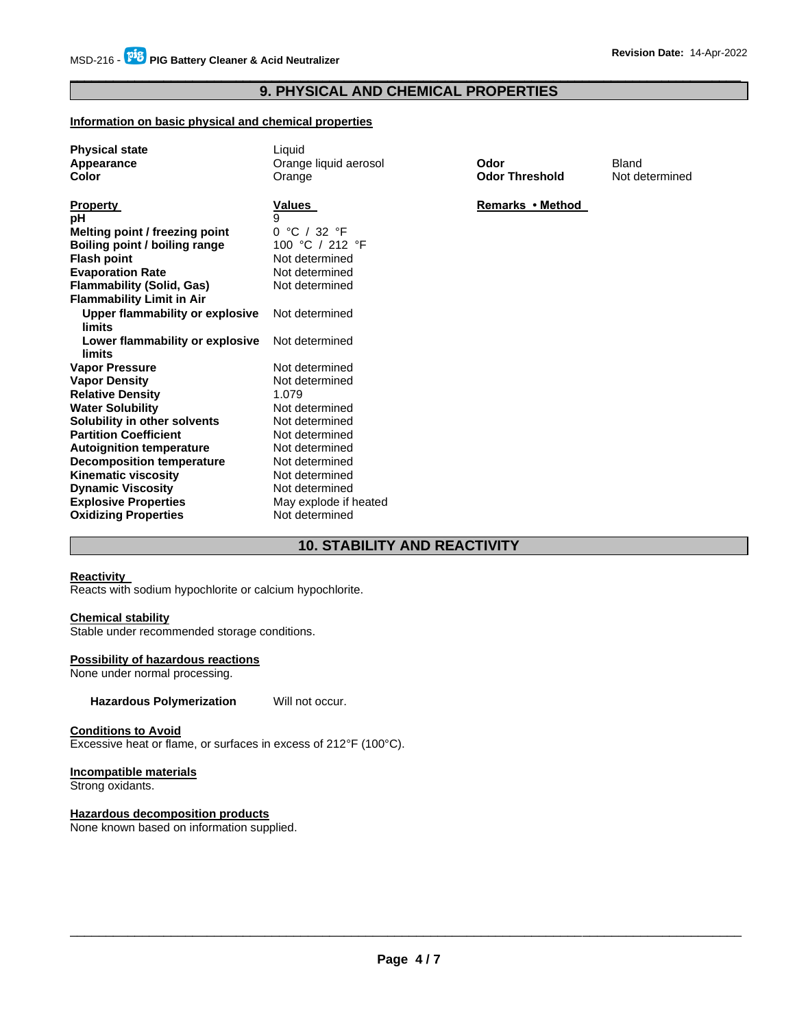# \_\_\_\_\_\_\_\_\_\_\_\_\_\_\_\_\_\_\_\_\_\_\_\_\_\_\_\_\_\_\_\_\_\_\_\_\_\_\_\_\_\_\_\_\_\_\_\_\_\_\_\_\_\_\_\_\_\_\_\_\_\_\_\_\_\_\_\_\_\_\_\_\_\_\_\_\_\_\_\_\_\_\_\_\_\_\_\_\_\_\_\_\_ **9. PHYSICAL AND CHEMICAL PROPERTIES**

# **Information on basic physical and chemical properties**

| <b>Physical state</b>            | Liquid                |                       |                |
|----------------------------------|-----------------------|-----------------------|----------------|
| Appearance                       | Orange liquid aerosol | Odor                  | Bland          |
| Color                            | Orange                | <b>Odor Threshold</b> | Not determined |
|                                  |                       |                       |                |
| <b>Property</b>                  | Values                | Remarks • Method      |                |
| рH                               | 9                     |                       |                |
| Melting point / freezing point   | 0 °C / 32 °F          |                       |                |
| Boiling point / boiling range    | 100 °C / 212 °F       |                       |                |
| <b>Flash point</b>               | Not determined        |                       |                |
| <b>Evaporation Rate</b>          | Not determined        |                       |                |
| <b>Flammability (Solid, Gas)</b> | Not determined        |                       |                |
| <b>Flammability Limit in Air</b> |                       |                       |                |
| Upper flammability or explosive  | Not determined        |                       |                |
| limits                           |                       |                       |                |
| Lower flammability or explosive  | Not determined        |                       |                |
| limits                           |                       |                       |                |
| <b>Vapor Pressure</b>            | Not determined        |                       |                |
| <b>Vapor Density</b>             | Not determined        |                       |                |
| <b>Relative Density</b>          | 1.079                 |                       |                |
| <b>Water Solubility</b>          | Not determined        |                       |                |
| Solubility in other solvents     | Not determined        |                       |                |
| <b>Partition Coefficient</b>     | Not determined        |                       |                |
| <b>Autoignition temperature</b>  | Not determined        |                       |                |
| <b>Decomposition temperature</b> | Not determined        |                       |                |
| <b>Kinematic viscosity</b>       | Not determined        |                       |                |
| <b>Dynamic Viscosity</b>         | Not determined        |                       |                |
| <b>Explosive Properties</b>      | May explode if heated |                       |                |
| <b>Oxidizing Properties</b>      | Not determined        |                       |                |

# **10. STABILITY AND REACTIVITY**

# **Reactivity**

Reacts with sodium hypochlorite or calcium hypochlorite.

# **Chemical stability**

Stable under recommended storage conditions.

# **Possibility of hazardous reactions**

None under normal processing.

**Hazardous Polymerization** Will not occur.

# **Conditions to Avoid**

Excessive heat or flame, or surfaces in excess of 212°F (100°C).

# **Incompatible materials**

Strong oxidants.

# **Hazardous decomposition products**

None known based on information supplied.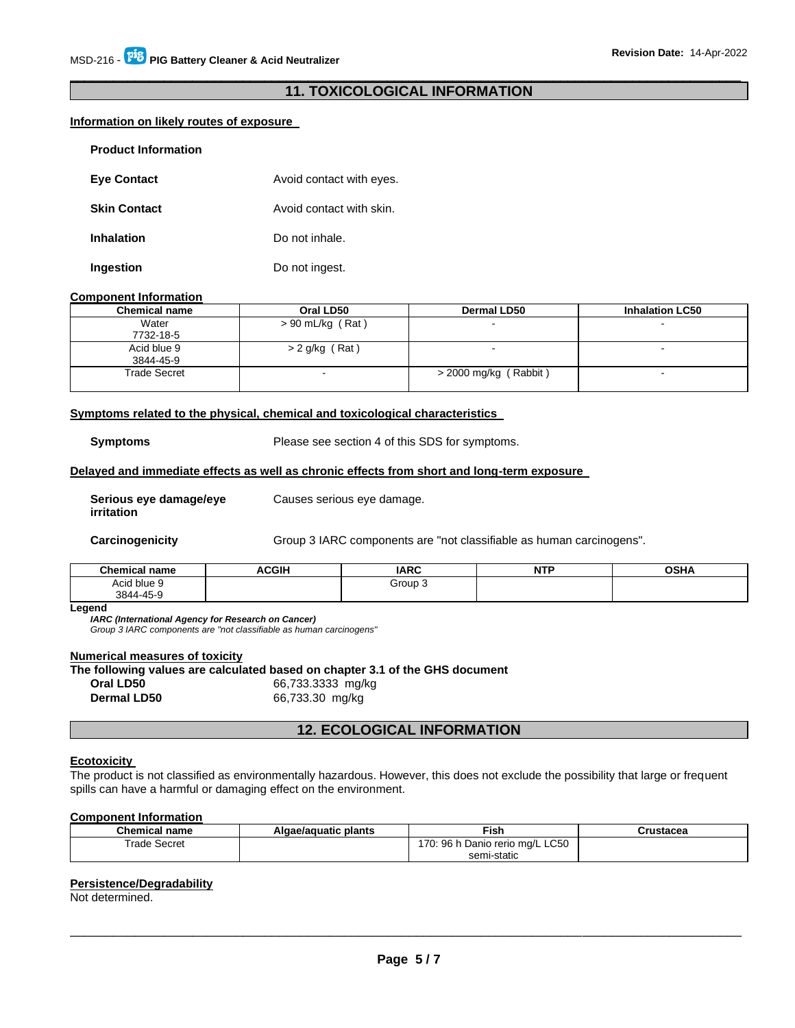# \_\_\_\_\_\_\_\_\_\_\_\_\_\_\_\_\_\_\_\_\_\_\_\_\_\_\_\_\_\_\_\_\_\_\_\_\_\_\_\_\_\_\_\_\_\_\_\_\_\_\_\_\_\_\_\_\_\_\_\_\_\_\_\_\_\_\_\_\_\_\_\_\_\_\_\_\_\_\_\_\_\_\_\_\_\_\_\_\_\_\_\_\_ **11. TOXICOLOGICAL INFORMATION**

# **Information on likely routes of exposure**

| <b>Product Information</b> |                          |
|----------------------------|--------------------------|
| <b>Eye Contact</b>         | Avoid contact with eyes. |
| <b>Skin Contact</b>        | Avoid contact with skin. |
| <b>Inhalation</b>          | Do not inhale.           |
| Ingestion                  | Do not ingest.           |

#### **Component Information**

| <b>Chemical name</b> | Oral LD50          | Dermal LD50           | <b>Inhalation LC50</b> |
|----------------------|--------------------|-----------------------|------------------------|
| Water                | $> 90$ mL/kg (Rat) |                       | $\sim$                 |
| 7732-18-5            |                    |                       |                        |
| Acid blue 9          | $> 2$ g/kg (Rat)   |                       |                        |
| 3844-45-9            |                    |                       |                        |
| Trade Secret         |                    | > 2000 mg/kg (Rabbit) | $\sim$                 |
|                      |                    |                       |                        |

#### **Symptoms related to the physical, chemical and toxicological characteristics**

**Symptoms** Please see section 4 of this SDS for symptoms.

# **Delayed and immediate effects as well as chronic effects from short and long-term exposure**

Causes serious eye damage.

**Serious eye damage/eye irritation**

**Carcinogenicity** Group 3 IARC components are "not classifiable as human carcinogens".

| <b>Chemical</b> L<br>name<br>эннсаг | <b>ACGIH</b> | <b>IARC</b> | <b>NTP</b><br>. | <b>OSHA</b> |
|-------------------------------------|--------------|-------------|-----------------|-------------|
| Acid blue S                         |              | Group 3     |                 |             |
| 3844-45-9<br>–ں.                    |              |             |                 |             |

**Legend** 

*IARC (International Agency for Research on Cancer)*

*Group 3 IARC components are "not classifiable as human carcinogens"* 

# **Numerical measures of toxicity**

**The following values are calculated based on chapter 3.1 of the GHS document** 

**Oral LD50** 66,733.3333 mg/kg **Dermal LD50** 66,733.30 mg/kg

# **12. ECOLOGICAL INFORMATION**

#### **Ecotoxicity**

The product is not classified as environmentally hazardous. However, this does not exclude the possibility that large or frequent spills can have a harmful or damaging effect on the environment.

## **Component Information**

| <b>Chemical name</b> | Algae/aguatic plants | Fish                                 | Crustacea |
|----------------------|----------------------|--------------------------------------|-----------|
| Trade Secret         |                      | : 96 h Danio rerio mg/L LC50<br>110. |           |
|                      |                      | semi-static                          |           |

#### **Persistence/Degradability**

Not determined.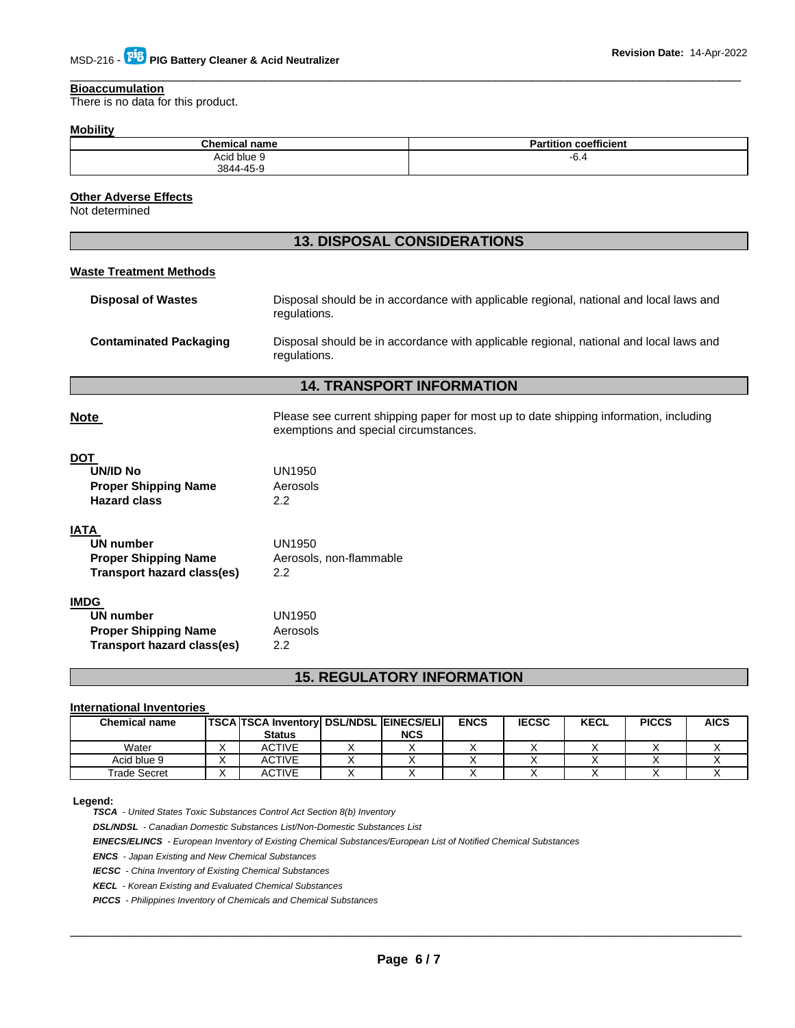#### **Bioaccumulation**

There is no data for this product.

# **Mobility**

| <b>Chemical name</b> | coefficient<br>Partition |
|----------------------|--------------------------|
| .<br>Acid blue 9     | $-0.5$                   |
| 3844-45-9            |                          |

\_\_\_\_\_\_\_\_\_\_\_\_\_\_\_\_\_\_\_\_\_\_\_\_\_\_\_\_\_\_\_\_\_\_\_\_\_\_\_\_\_\_\_\_\_\_\_\_\_\_\_\_\_\_\_\_\_\_\_\_\_\_\_\_\_\_\_\_\_\_\_\_\_\_\_\_\_\_\_\_\_\_\_\_\_\_\_\_\_\_\_\_\_

# **Other Adverse Effects**

Not determined

# **13. DISPOSAL CONSIDERATIONS**

| <b>Waste Treatment Methods</b> |                                                                                                                                |
|--------------------------------|--------------------------------------------------------------------------------------------------------------------------------|
| <b>Disposal of Wastes</b>      | Disposal should be in accordance with applicable regional, national and local laws and<br>regulations.                         |
| <b>Contaminated Packaging</b>  | Disposal should be in accordance with applicable regional, national and local laws and<br>regulations.                         |
|                                | <b>14. TRANSPORT INFORMATION</b>                                                                                               |
| <b>Note</b>                    | Please see current shipping paper for most up to date shipping information, including<br>exemptions and special circumstances. |
| <b>DOT</b>                     |                                                                                                                                |
| <b>UN/ID No</b>                | UN1950                                                                                                                         |
| <b>Proper Shipping Name</b>    | Aerosols                                                                                                                       |
| <b>Hazard class</b>            | 2.2                                                                                                                            |
| <b>IATA</b>                    |                                                                                                                                |
| <b>UN number</b>               | <b>UN1950</b>                                                                                                                  |
| <b>Proper Shipping Name</b>    | Aerosols, non-flammable                                                                                                        |
| Transport hazard class(es)     | 2.2                                                                                                                            |
| <b>IMDG</b>                    |                                                                                                                                |
| <b>UN number</b>               | UN1950                                                                                                                         |
| <b>Proper Shipping Name</b>    | Aerosols                                                                                                                       |
| Transport hazard class(es)     | 2.2                                                                                                                            |
|                                | <b>15. REGULATORY INFORMATION</b>                                                                                              |

# **International Inventories**

| <b>Chemical name</b> | <b>TSCA TSCA Inventory DSL/NDSL EINECS/ELI</b> |            | <b>ENCS</b> | <b>IECSC</b> | <b>KECL</b> | <b>PICCS</b> | <b>AICS</b> |
|----------------------|------------------------------------------------|------------|-------------|--------------|-------------|--------------|-------------|
|                      | <b>Status</b>                                  | <b>NCS</b> |             |              |             |              |             |
| Water                | <b>ACTIVE</b>                                  |            |             |              |             |              |             |
| Acid blue 9          | <b>ACTIVE</b>                                  |            |             |              |             |              |             |
| Trade Secret         | <b>ACTIVE</b>                                  |            |             |              |             |              |             |

#### **Legend:**

*TSCA - United States Toxic Substances Control Act Section 8(b) Inventory* 

*DSL/NDSL - Canadian Domestic Substances List/Non-Domestic Substances List* 

*EINECS/ELINCS - European Inventory of Existing Chemical Substances/European List of Notified Chemical Substances* 

*ENCS - Japan Existing and New Chemical Substances* 

*IECSC - China Inventory of Existing Chemical Substances* 

*KECL - Korean Existing and Evaluated Chemical Substances* 

*PICCS - Philippines Inventory of Chemicals and Chemical Substances*